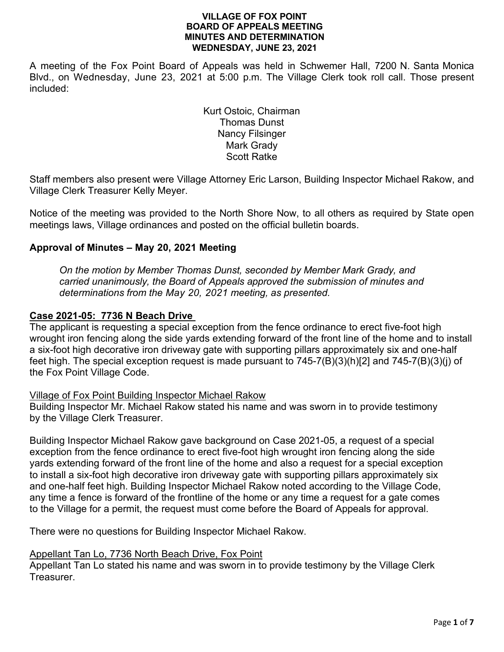A meeting of the Fox Point Board of Appeals was held in Schwemer Hall, 7200 N. Santa Monica Blvd., on Wednesday, June 23, 2021 at 5:00 p.m. The Village Clerk took roll call. Those present included:

> Kurt Ostoic, Chairman Thomas Dunst Nancy Filsinger Mark Grady Scott Ratke

Staff members also present were Village Attorney Eric Larson, Building Inspector Michael Rakow, and Village Clerk Treasurer Kelly Meyer.

Notice of the meeting was provided to the North Shore Now, to all others as required by State open meetings laws, Village ordinances and posted on the official bulletin boards.

# **Approval of Minutes – May 20, 2021 Meeting**

*On the motion by Member Thomas Dunst, seconded by Member Mark Grady, and carried unanimously, the Board of Appeals approved the submission of minutes and determinations from the May 20, 2021 meeting, as presented.*

# **Case 2021-05: 7736 N Beach Drive**

The applicant is requesting a special exception from the fence ordinance to erect five-foot high wrought iron fencing along the side yards extending forward of the front line of the home and to install a six-foot high decorative iron driveway gate with supporting pillars approximately six and one-half feet high. The special exception request is made pursuant to 745-7(B)(3)(h)[2] and 745-7(B)(3)(j) of the Fox Point Village Code.

# Village of Fox Point Building Inspector Michael Rakow

Building Inspector Mr. Michael Rakow stated his name and was sworn in to provide testimony by the Village Clerk Treasurer.

Building Inspector Michael Rakow gave background on Case 2021-05, a request of a special exception from the fence ordinance to erect five-foot high wrought iron fencing along the side yards extending forward of the front line of the home and also a request for a special exception to install a six-foot high decorative iron driveway gate with supporting pillars approximately six and one-half feet high. Building Inspector Michael Rakow noted according to the Village Code, any time a fence is forward of the frontline of the home or any time a request for a gate comes to the Village for a permit, the request must come before the Board of Appeals for approval.

There were no questions for Building Inspector Michael Rakow.

# Appellant Tan Lo, 7736 North Beach Drive, Fox Point

Appellant Tan Lo stated his name and was sworn in to provide testimony by the Village Clerk Treasurer.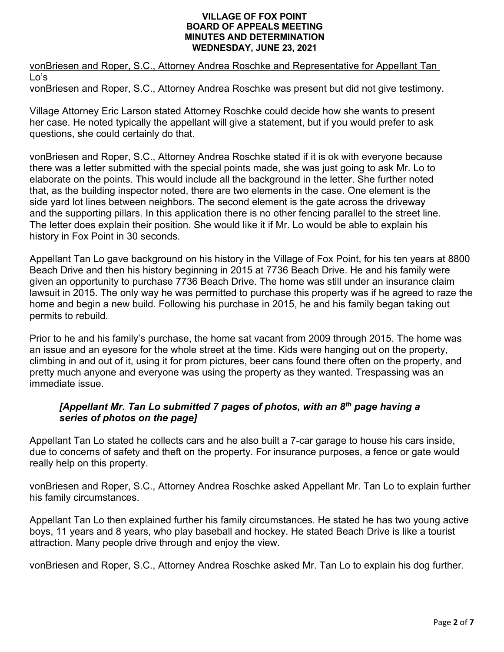vonBriesen and Roper, S.C., Attorney Andrea Roschke and Representative for Appellant Tan Lo's

vonBriesen and Roper, S.C., Attorney Andrea Roschke was present but did not give testimony.

Village Attorney Eric Larson stated Attorney Roschke could decide how she wants to present her case. He noted typically the appellant will give a statement, but if you would prefer to ask questions, she could certainly do that.

vonBriesen and Roper, S.C., Attorney Andrea Roschke stated if it is ok with everyone because there was a letter submitted with the special points made, she was just going to ask Mr. Lo to elaborate on the points. This would include all the background in the letter. She further noted that, as the building inspector noted, there are two elements in the case. One element is the side yard lot lines between neighbors. The second element is the gate across the driveway and the supporting pillars. In this application there is no other fencing parallel to the street line. The letter does explain their position. She would like it if Mr. Lo would be able to explain his history in Fox Point in 30 seconds.

Appellant Tan Lo gave background on his history in the Village of Fox Point, for his ten years at 8800 Beach Drive and then his history beginning in 2015 at 7736 Beach Drive. He and his family were given an opportunity to purchase 7736 Beach Drive. The home was still under an insurance claim lawsuit in 2015. The only way he was permitted to purchase this property was if he agreed to raze the home and begin a new build. Following his purchase in 2015, he and his family began taking out permits to rebuild.

Prior to he and his family's purchase, the home sat vacant from 2009 through 2015. The home was an issue and an eyesore for the whole street at the time. Kids were hanging out on the property, climbing in and out of it, using it for prom pictures, beer cans found there often on the property, and pretty much anyone and everyone was using the property as they wanted. Trespassing was an immediate issue.

# *[Appellant Mr. Tan Lo submitted 7 pages of photos, with an 8th page having a series of photos on the page]*

Appellant Tan Lo stated he collects cars and he also built a 7-car garage to house his cars inside, due to concerns of safety and theft on the property. For insurance purposes, a fence or gate would really help on this property.

vonBriesen and Roper, S.C., Attorney Andrea Roschke asked Appellant Mr. Tan Lo to explain further his family circumstances.

Appellant Tan Lo then explained further his family circumstances. He stated he has two young active boys, 11 years and 8 years, who play baseball and hockey. He stated Beach Drive is like a tourist attraction. Many people drive through and enjoy the view.

vonBriesen and Roper, S.C., Attorney Andrea Roschke asked Mr. Tan Lo to explain his dog further.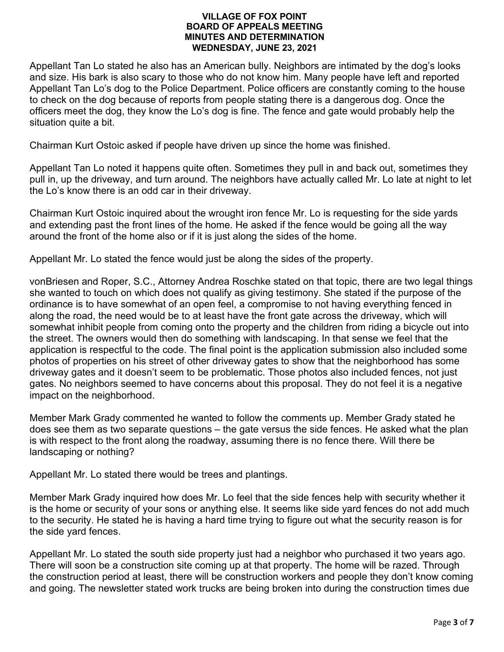Appellant Tan Lo stated he also has an American bully. Neighbors are intimated by the dog's looks and size. His bark is also scary to those who do not know him. Many people have left and reported Appellant Tan Lo's dog to the Police Department. Police officers are constantly coming to the house to check on the dog because of reports from people stating there is a dangerous dog. Once the officers meet the dog, they know the Lo's dog is fine. The fence and gate would probably help the situation quite a bit.

Chairman Kurt Ostoic asked if people have driven up since the home was finished.

Appellant Tan Lo noted it happens quite often. Sometimes they pull in and back out, sometimes they pull in, up the driveway, and turn around. The neighbors have actually called Mr. Lo late at night to let the Lo's know there is an odd car in their driveway.

Chairman Kurt Ostoic inquired about the wrought iron fence Mr. Lo is requesting for the side yards and extending past the front lines of the home. He asked if the fence would be going all the way around the front of the home also or if it is just along the sides of the home.

Appellant Mr. Lo stated the fence would just be along the sides of the property.

vonBriesen and Roper, S.C., Attorney Andrea Roschke stated on that topic, there are two legal things she wanted to touch on which does not qualify as giving testimony. She stated if the purpose of the ordinance is to have somewhat of an open feel, a compromise to not having everything fenced in along the road, the need would be to at least have the front gate across the driveway, which will somewhat inhibit people from coming onto the property and the children from riding a bicycle out into the street. The owners would then do something with landscaping. In that sense we feel that the application is respectful to the code. The final point is the application submission also included some photos of properties on his street of other driveway gates to show that the neighborhood has some driveway gates and it doesn't seem to be problematic. Those photos also included fences, not just gates. No neighbors seemed to have concerns about this proposal. They do not feel it is a negative impact on the neighborhood.

Member Mark Grady commented he wanted to follow the comments up. Member Grady stated he does see them as two separate questions – the gate versus the side fences. He asked what the plan is with respect to the front along the roadway, assuming there is no fence there. Will there be landscaping or nothing?

Appellant Mr. Lo stated there would be trees and plantings.

Member Mark Grady inquired how does Mr. Lo feel that the side fences help with security whether it is the home or security of your sons or anything else. It seems like side yard fences do not add much to the security. He stated he is having a hard time trying to figure out what the security reason is for the side yard fences.

Appellant Mr. Lo stated the south side property just had a neighbor who purchased it two years ago. There will soon be a construction site coming up at that property. The home will be razed. Through the construction period at least, there will be construction workers and people they don't know coming and going. The newsletter stated work trucks are being broken into during the construction times due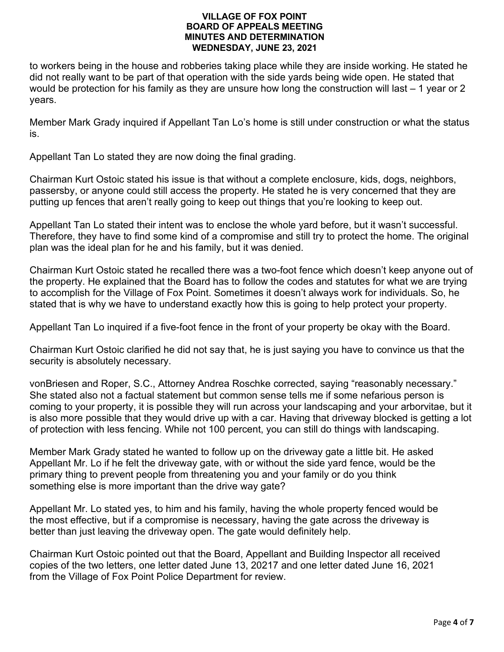to workers being in the house and robberies taking place while they are inside working. He stated he did not really want to be part of that operation with the side yards being wide open. He stated that would be protection for his family as they are unsure how long the construction will last – 1 year or 2 years.

Member Mark Grady inquired if Appellant Tan Lo's home is still under construction or what the status is.

Appellant Tan Lo stated they are now doing the final grading.

Chairman Kurt Ostoic stated his issue is that without a complete enclosure, kids, dogs, neighbors, passersby, or anyone could still access the property. He stated he is very concerned that they are putting up fences that aren't really going to keep out things that you're looking to keep out.

Appellant Tan Lo stated their intent was to enclose the whole yard before, but it wasn't successful. Therefore, they have to find some kind of a compromise and still try to protect the home. The original plan was the ideal plan for he and his family, but it was denied.

Chairman Kurt Ostoic stated he recalled there was a two-foot fence which doesn't keep anyone out of the property. He explained that the Board has to follow the codes and statutes for what we are trying to accomplish for the Village of Fox Point. Sometimes it doesn't always work for individuals. So, he stated that is why we have to understand exactly how this is going to help protect your property.

Appellant Tan Lo inquired if a five-foot fence in the front of your property be okay with the Board.

Chairman Kurt Ostoic clarified he did not say that, he is just saying you have to convince us that the security is absolutely necessary.

vonBriesen and Roper, S.C., Attorney Andrea Roschke corrected, saying "reasonably necessary." She stated also not a factual statement but common sense tells me if some nefarious person is coming to your property, it is possible they will run across your landscaping and your arborvitae, but it is also more possible that they would drive up with a car. Having that driveway blocked is getting a lot of protection with less fencing. While not 100 percent, you can still do things with landscaping.

Member Mark Grady stated he wanted to follow up on the driveway gate a little bit. He asked Appellant Mr. Lo if he felt the driveway gate, with or without the side yard fence, would be the primary thing to prevent people from threatening you and your family or do you think something else is more important than the drive way gate?

Appellant Mr. Lo stated yes, to him and his family, having the whole property fenced would be the most effective, but if a compromise is necessary, having the gate across the driveway is better than just leaving the driveway open. The gate would definitely help.

Chairman Kurt Ostoic pointed out that the Board, Appellant and Building Inspector all received copies of the two letters, one letter dated June 13, 20217 and one letter dated June 16, 2021 from the Village of Fox Point Police Department for review.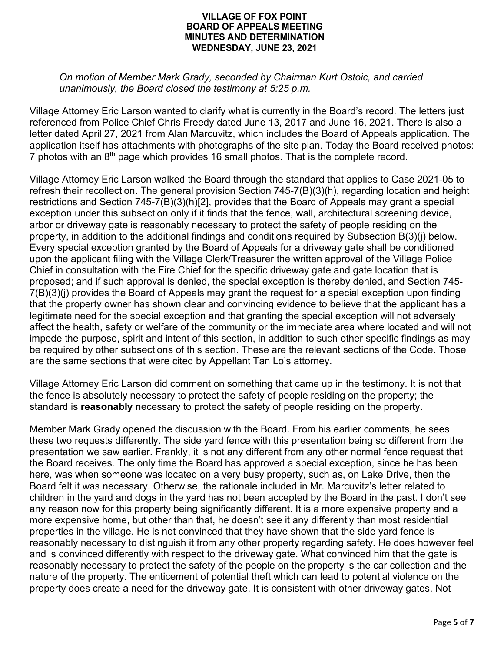*On motion of Member Mark Grady, seconded by Chairman Kurt Ostoic, and carried unanimously, the Board closed the testimony at 5:25 p.m.*

Village Attorney Eric Larson wanted to clarify what is currently in the Board's record. The letters just referenced from Police Chief Chris Freedy dated June 13, 2017 and June 16, 2021. There is also a letter dated April 27, 2021 from Alan Marcuvitz, which includes the Board of Appeals application. The application itself has attachments with photographs of the site plan. Today the Board received photos: 7 photos with an  $8<sup>th</sup>$  page which provides 16 small photos. That is the complete record.

Village Attorney Eric Larson walked the Board through the standard that applies to Case 2021-05 to refresh their recollection. The general provision Section 745-7(B)(3)(h), regarding location and height restrictions and Section 745-7(B)(3)(h)[2], provides that the Board of Appeals may grant a special exception under this subsection only if it finds that the fence, wall, architectural screening device, arbor or driveway gate is reasonably necessary to protect the safety of people residing on the property, in addition to the additional findings and conditions required by Subsection B(3)(j) below. Every special exception granted by the Board of Appeals for a driveway gate shall be conditioned upon the applicant filing with the Village Clerk/Treasurer the written approval of the Village Police Chief in consultation with the Fire Chief for the specific driveway gate and gate location that is proposed; and if such approval is denied, the special exception is thereby denied, and Section 745- 7(B)(3)(j) provides the Board of Appeals may grant the request for a special exception upon finding that the property owner has shown clear and convincing evidence to believe that the applicant has a legitimate need for the special exception and that granting the special exception will not adversely affect the health, safety or welfare of the community or the immediate area where located and will not impede the purpose, spirit and intent of this section, in addition to such other specific findings as may be required by other subsections of this section. These are the relevant sections of the Code. Those are the same sections that were cited by Appellant Tan Lo's attorney.

Village Attorney Eric Larson did comment on something that came up in the testimony. It is not that the fence is absolutely necessary to protect the safety of people residing on the property; the standard is **reasonably** necessary to protect the safety of people residing on the property.

Member Mark Grady opened the discussion with the Board. From his earlier comments, he sees these two requests differently. The side yard fence with this presentation being so different from the presentation we saw earlier. Frankly, it is not any different from any other normal fence request that the Board receives. The only time the Board has approved a special exception, since he has been here, was when someone was located on a very busy property, such as, on Lake Drive, then the Board felt it was necessary. Otherwise, the rationale included in Mr. Marcuvitz's letter related to children in the yard and dogs in the yard has not been accepted by the Board in the past. I don't see any reason now for this property being significantly different. It is a more expensive property and a more expensive home, but other than that, he doesn't see it any differently than most residential properties in the village. He is not convinced that they have shown that the side yard fence is reasonably necessary to distinguish it from any other property regarding safety. He does however feel and is convinced differently with respect to the driveway gate. What convinced him that the gate is reasonably necessary to protect the safety of the people on the property is the car collection and the nature of the property. The enticement of potential theft which can lead to potential violence on the property does create a need for the driveway gate. It is consistent with other driveway gates. Not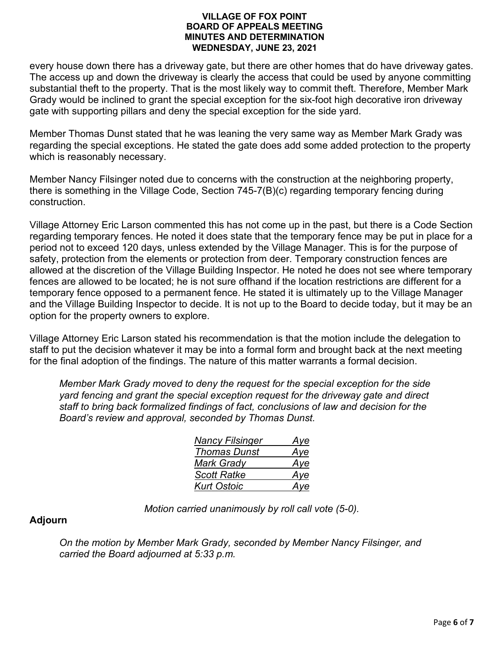every house down there has a driveway gate, but there are other homes that do have driveway gates. The access up and down the driveway is clearly the access that could be used by anyone committing substantial theft to the property. That is the most likely way to commit theft. Therefore, Member Mark Grady would be inclined to grant the special exception for the six-foot high decorative iron driveway gate with supporting pillars and deny the special exception for the side yard.

Member Thomas Dunst stated that he was leaning the very same way as Member Mark Grady was regarding the special exceptions. He stated the gate does add some added protection to the property which is reasonably necessary.

Member Nancy Filsinger noted due to concerns with the construction at the neighboring property, there is something in the Village Code, Section 745-7(B)(c) regarding temporary fencing during construction.

Village Attorney Eric Larson commented this has not come up in the past, but there is a Code Section regarding temporary fences. He noted it does state that the temporary fence may be put in place for a period not to exceed 120 days, unless extended by the Village Manager. This is for the purpose of safety, protection from the elements or protection from deer. Temporary construction fences are allowed at the discretion of the Village Building Inspector. He noted he does not see where temporary fences are allowed to be located; he is not sure offhand if the location restrictions are different for a temporary fence opposed to a permanent fence. He stated it is ultimately up to the Village Manager and the Village Building Inspector to decide. It is not up to the Board to decide today, but it may be an option for the property owners to explore.

Village Attorney Eric Larson stated his recommendation is that the motion include the delegation to staff to put the decision whatever it may be into a formal form and brought back at the next meeting for the final adoption of the findings. The nature of this matter warrants a formal decision.

*Member Mark Grady moved to deny the request for the special exception for the side yard fencing and grant the special exception request for the driveway gate and direct staff to bring back formalized findings of fact, conclusions of law and decision for the Board's review and approval, seconded by Thomas Dunst.*

| <b>Nancy Filsinger</b> | Aye |
|------------------------|-----|
| <b>Thomas Dunst</b>    | Aye |
| <b>Mark Grady</b>      | Aye |
| <b>Scott Ratke</b>     | Aye |
| <b>Kurt Ostoic</b>     | Aye |

*Motion carried unanimously by roll call vote (5-0).*

# **Adjourn**

*On the motion by Member Mark Grady, seconded by Member Nancy Filsinger, and carried the Board adjourned at 5:33 p.m.*